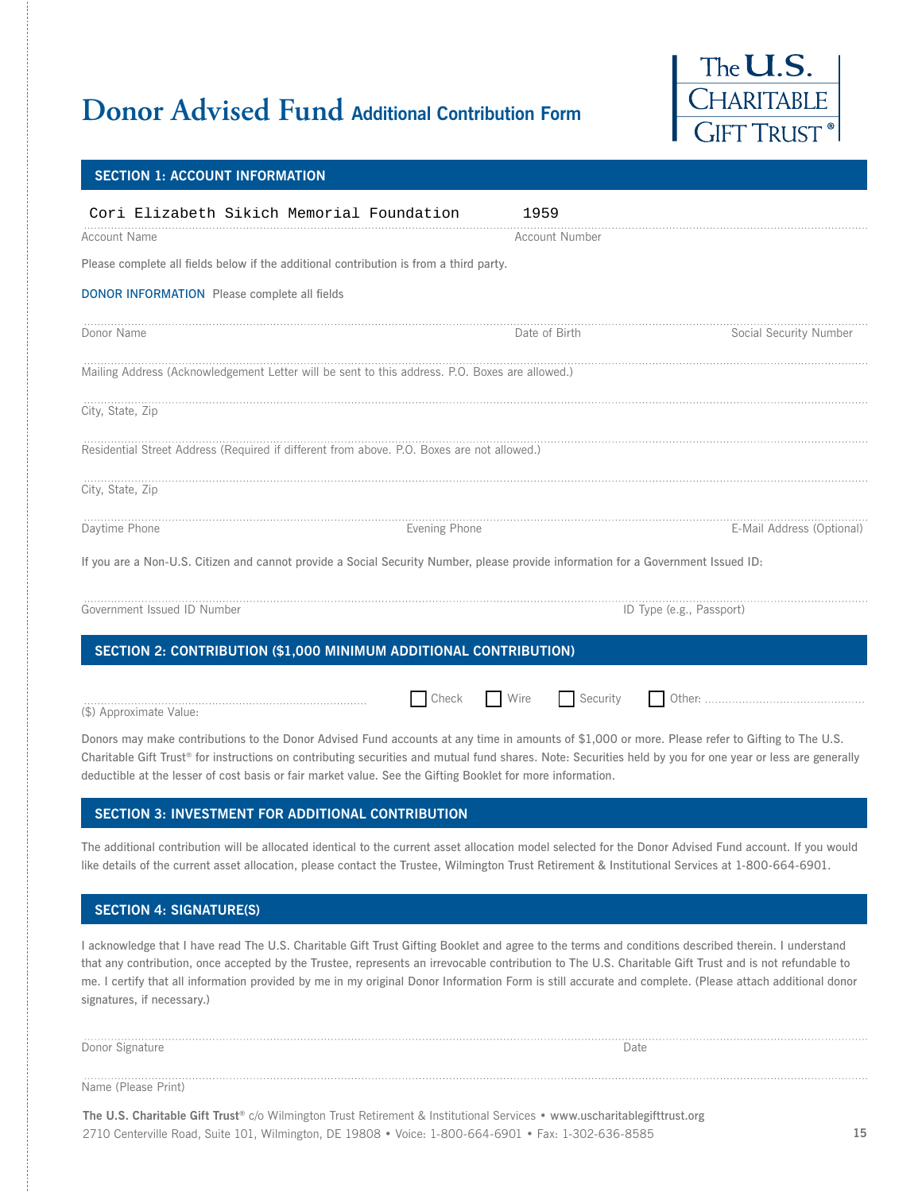## **Donor Advised Fund Additional Contribution Form**



#### **SECTION 1: ACCOUNT INFORMATION**

| Cori Elizabeth Sikich Memorial Foundation                                                                                                       | 1959                     |                           |
|-------------------------------------------------------------------------------------------------------------------------------------------------|--------------------------|---------------------------|
| <b>Account Name</b>                                                                                                                             | <b>Account Number</b>    |                           |
| Please complete all fields below if the additional contribution is from a third party.                                                          |                          |                           |
| <b>DONOR INFORMATION</b> Please complete all fields                                                                                             |                          |                           |
| Donor Name                                                                                                                                      | Date of Birth            | Social Security Number    |
| Mailing Address (Acknowledgement Letter will be sent to this address. P.O. Boxes are allowed.)                                                  |                          |                           |
| City, State, Zip                                                                                                                                |                          |                           |
| Residential Street Address (Required if different from above. P.O. Boxes are not allowed.)                                                      |                          |                           |
| City, State, Zip                                                                                                                                |                          |                           |
| Daytime Phone                                                                                                                                   | Evening Phone            | E-Mail Address (Optional) |
| If you are a Non-U.S. Citizen and cannot provide a Social Security Number, please provide information for a Government Issued ID:               |                          |                           |
| Government Issued ID Number                                                                                                                     | ID Type (e.g., Passport) |                           |
| SECTION 2: CONTRIBUTION (\$1,000 MINIMUM ADDITIONAL CONTRIBUTION)                                                                               |                          |                           |
| Check<br>(\$) Approximate Value:                                                                                                                | Wire<br>$\Box$ Security  |                           |
| Donors may make contributions to the Donor Advised Fund accounts at any time in amounts of \$1,000 or more. Please refer to Gifting to The U.S. |                          |                           |

### **SECTION 3: INVESTMENT FOR ADDITIONAL CONTRIBUTION**

deductible at the lesser of cost basis or fair market value. See the Gifting Booklet for more information.

The additional contribution will be allocated identical to the current asset allocation model selected for the Donor Advised Fund account. If you would like details of the current asset allocation, please contact the Trustee, Wilmington Trust Retirement & Institutional Services at 1-800-664-6901.

Charitable Gift Trust® for instructions on contributing securities and mutual fund shares. Note: Securities held by you for one year or less are generally

#### **SECTION 4: SIGNATURE(S)**

I acknowledge that I have read The U.S. Charitable Gift Trust Gifting Booklet and agree to the terms and conditions described therein. I understand that any contribution, once accepted by the Trustee, represents an irrevocable contribution to The U.S. Charitable Gift Trust and is not refundable to me. I certify that all information provided by me in my original Donor Information Form is still accurate and complete. (Please attach additional donor signatures, if necessary.)

| .               | Date |
|-----------------|------|
| Donor Signature |      |
| .               |      |

Name (Please Print)

The U.S. Charitable Gift Trust® c/o Wilmington Trust Retirement & Institutional Services • www.uscharitablegifttrust.org 2710 Centerville Road, Suite 101, Wilmington, DE 19808 · Voice: 1-800-664-6901 · Fax: 1-302-636-8585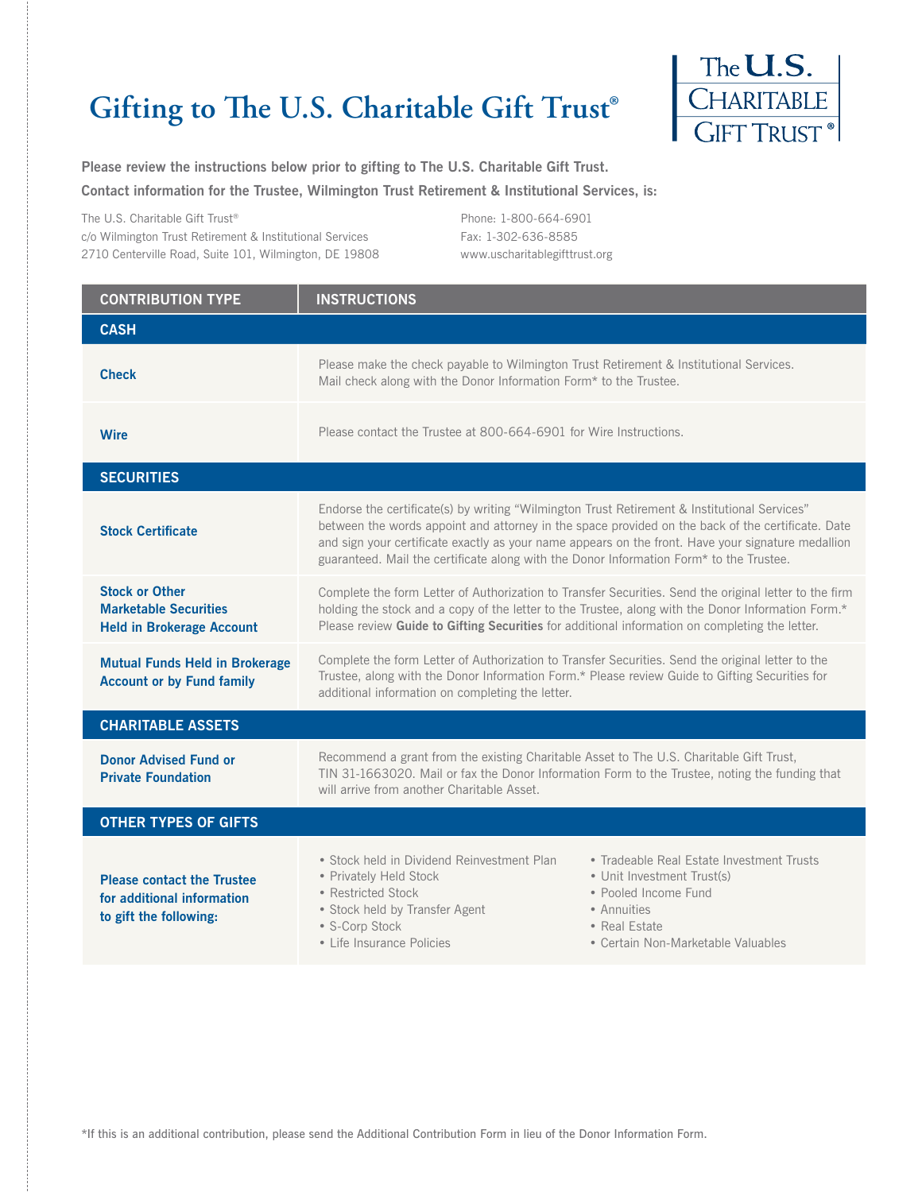# **Gifting to The U.S. Charitable Gift Trust®**



**Please review the instructions below prior to gifting to The U.S. Charitable Gift Trust. Contact information for the Trustee, Wilmington Trust Retirement & Institutional Services, is:**

The U.S. Charitable Gift Trust® 1IPOF c/o Wilmington Trust Retirement & Institutional Services Fax: 1-302-636-8585 2710 Centerville Road, Suite 101, Wilmington, DE 19808 www.uscharitablegifttrust.org

| <b>CONTRIBUTION TYPE</b>                                                                  | <b>INSTRUCTIONS</b>                                                                                                                                                                                                                                                                                                                                                                                |                                                                                                                                                        |  |
|-------------------------------------------------------------------------------------------|----------------------------------------------------------------------------------------------------------------------------------------------------------------------------------------------------------------------------------------------------------------------------------------------------------------------------------------------------------------------------------------------------|--------------------------------------------------------------------------------------------------------------------------------------------------------|--|
| <b>CASH</b>                                                                               |                                                                                                                                                                                                                                                                                                                                                                                                    |                                                                                                                                                        |  |
| <b>Check</b>                                                                              | Please make the check payable to Wilmington Trust Retirement & Institutional Services.<br>Mail check along with the Donor Information Form* to the Trustee.                                                                                                                                                                                                                                        |                                                                                                                                                        |  |
| <b>Wire</b>                                                                               | Please contact the Trustee at 800-664-6901 for Wire Instructions.                                                                                                                                                                                                                                                                                                                                  |                                                                                                                                                        |  |
| <b>SECURITIES</b>                                                                         |                                                                                                                                                                                                                                                                                                                                                                                                    |                                                                                                                                                        |  |
| <b>Stock Certificate</b>                                                                  | Endorse the certificate(s) by writing "Wilmington Trust Retirement & Institutional Services"<br>between the words appoint and attorney in the space provided on the back of the certificate. Date<br>and sign your certificate exactly as your name appears on the front. Have your signature medallion<br>guaranteed. Mail the certificate along with the Donor Information Form* to the Trustee. |                                                                                                                                                        |  |
| <b>Stock or Other</b><br><b>Marketable Securities</b><br><b>Held in Brokerage Account</b> | Complete the form Letter of Authorization to Transfer Securities. Send the original letter to the firm<br>holding the stock and a copy of the letter to the Trustee, along with the Donor Information Form.*<br>Please review Guide to Gifting Securities for additional information on completing the letter.                                                                                     |                                                                                                                                                        |  |
| <b>Mutual Funds Held in Brokerage</b><br><b>Account or by Fund family</b>                 | Complete the form Letter of Authorization to Transfer Securities. Send the original letter to the<br>Trustee, along with the Donor Information Form.* Please review Guide to Gifting Securities for<br>additional information on completing the letter.                                                                                                                                            |                                                                                                                                                        |  |
| <b>CHARITABLE ASSETS</b>                                                                  |                                                                                                                                                                                                                                                                                                                                                                                                    |                                                                                                                                                        |  |
| <b>Donor Advised Fund or</b><br><b>Private Foundation</b>                                 | Recommend a grant from the existing Charitable Asset to The U.S. Charitable Gift Trust,<br>TIN 31-1663020. Mail or fax the Donor Information Form to the Trustee, noting the funding that<br>will arrive from another Charitable Asset.                                                                                                                                                            |                                                                                                                                                        |  |
| <b>OTHER TYPES OF GIFTS</b>                                                               |                                                                                                                                                                                                                                                                                                                                                                                                    |                                                                                                                                                        |  |
| <b>Please contact the Trustee</b><br>for additional information<br>to gift the following: | • Stock held in Dividend Reinvestment Plan<br>• Privately Held Stock<br>• Restricted Stock<br>• Stock held by Transfer Agent<br>• Annuities<br>• S-Corp Stock<br>• Life Insurance Policies                                                                                                                                                                                                         | • Tradeable Real Estate Investment Trusts<br>• Unit Investment Trust(s)<br>• Pooled Income Fund<br>• Real Estate<br>• Certain Non-Marketable Valuables |  |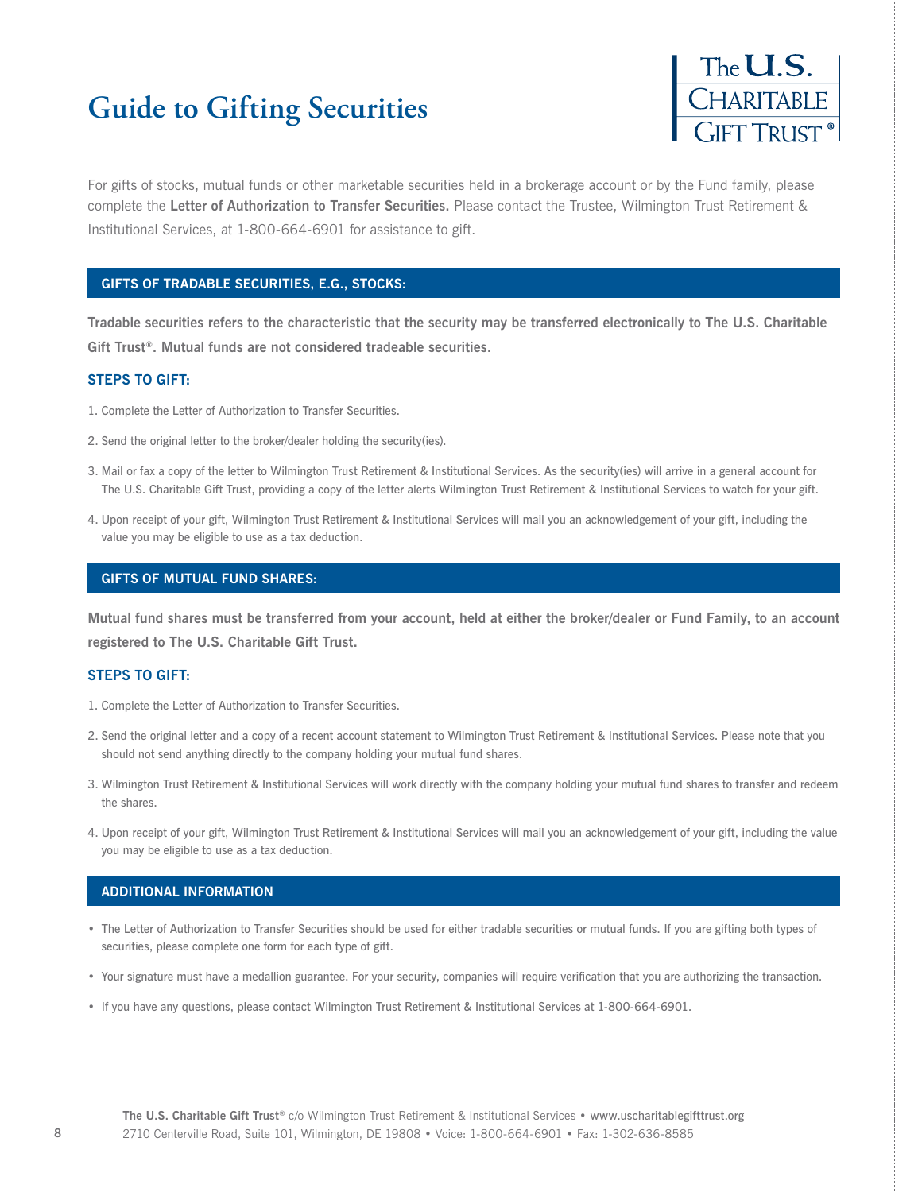# **Guide to Gifting Securities**



For gifts of stocks, mutual funds or other marketable securities held in a brokerage account or by the Fund family, please complete the **Letter of Authorization to Transfer Securities.** Please contact the Trustee, Wilmington Trust Retirement & Institutional Services, at 1-800-664-6901 for assistance to gift.

### **GIFTS OF TRADABLE SECURITIES, E.G., STOCKS:**

**Tradable securities refers to the characteristic that the security may be transferred electronically to The U.S. Charitable Gift Trust®. Mutual funds are not considered tradeable securities.**

#### **STEPS TO GIFT:**

- 1. Complete the Letter of Authorization to Transfer Securities.
- 2. Send the original letter to the broker/dealer holding the security(ies).
- 3. Mail or fax a copy of the letter to Wilmington Trust Retirement & Institutional Services. As the security(ies) will arrive in a general account for The U.S. Charitable Gift Trust, providing a copy of the letter alerts Wilmington Trust Retirement & Institutional Services to watch for your gift.
- 4. Upon receipt of your gift, Wilmington Trust Retirement & Institutional Services will mail you an acknowledgement of your gift, including the value you may be eligible to use as a tax deduction.

#### **GIFTS OF MUTUAL FUND SHARES:**

**Mutual fund shares must be transferred from your account, held at either the broker/dealer or Fund Family, to an account registered to The U.S. Charitable Gift Trust.**

#### **STEPS TO GIFT:**

- 1. Complete the Letter of Authorization to Transfer Securities.
- 2. Send the original letter and a copy of a recent account statement to Wilmington Trust Retirement & Institutional Services. Please note that you should not send anything directly to the company holding your mutual fund shares.
- 3. Wilmington Trust Retirement & Institutional Services will work directly with the company holding your mutual fund shares to transfer and redeem the shares.
- 4. Upon receipt of your gift, Wilmington Trust Retirement & Institutional Services will mail you an acknowledgement of your gift, including the value you may be eligible to use as a tax deduction.

#### **ADDITIONAL INFORMATION**

- The Letter of Authorization to Transfer Securities should be used for either tradable securities or mutual funds. If you are gifting both types of securities, please complete one form for each type of gift.
- Your signature must have a medallion guarantee. For your security, companies will require verification that you are authorizing the transaction.
- If you have any questions, please contact Wilmington Trust Retirement & Institutional Services at 1-800-664-6901.